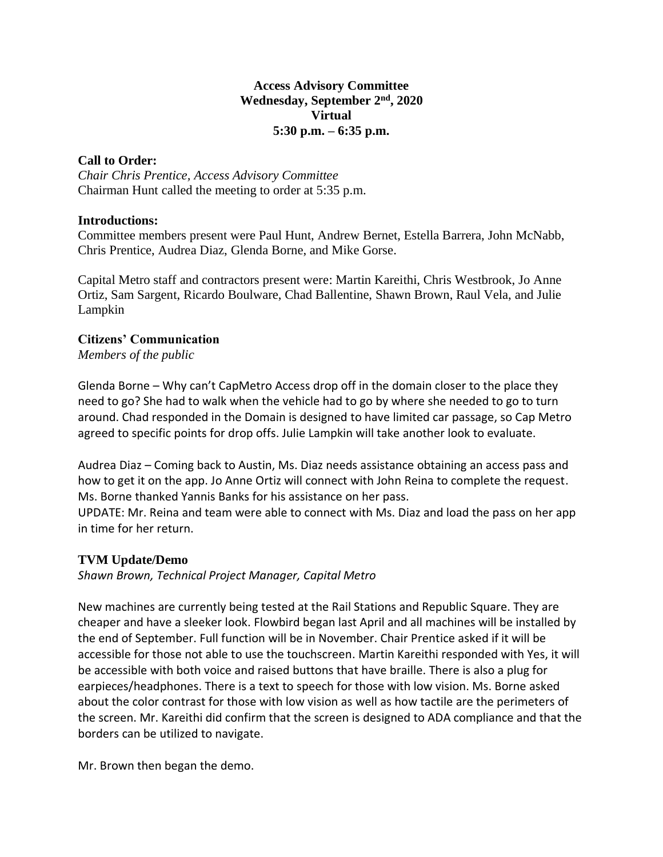### **Access Advisory Committee Wednesday, September 2nd, 2020 Virtual 5:30 p.m. – 6:35 p.m.**

### **Call to Order:**

*Chair Chris Prentice, Access Advisory Committee* Chairman Hunt called the meeting to order at 5:35 p.m.

### **Introductions:**

Committee members present were Paul Hunt, Andrew Bernet, Estella Barrera, John McNabb, Chris Prentice, Audrea Diaz, Glenda Borne, and Mike Gorse.

Capital Metro staff and contractors present were: Martin Kareithi, Chris Westbrook, Jo Anne Ortiz, Sam Sargent, Ricardo Boulware, Chad Ballentine, Shawn Brown, Raul Vela, and Julie Lampkin

# **Citizens' Communication**

*Members of the public*

Glenda Borne – Why can't CapMetro Access drop off in the domain closer to the place they need to go? She had to walk when the vehicle had to go by where she needed to go to turn around. Chad responded in the Domain is designed to have limited car passage, so Cap Metro agreed to specific points for drop offs. Julie Lampkin will take another look to evaluate.

Audrea Diaz – Coming back to Austin, Ms. Diaz needs assistance obtaining an access pass and how to get it on the app. Jo Anne Ortiz will connect with John Reina to complete the request. Ms. Borne thanked Yannis Banks for his assistance on her pass.

UPDATE: Mr. Reina and team were able to connect with Ms. Diaz and load the pass on her app in time for her return.

# **TVM Update/Demo**

*Shawn Brown, Technical Project Manager, Capital Metro*

New machines are currently being tested at the Rail Stations and Republic Square. They are cheaper and have a sleeker look. Flowbird began last April and all machines will be installed by the end of September. Full function will be in November. Chair Prentice asked if it will be accessible for those not able to use the touchscreen. Martin Kareithi responded with Yes, it will be accessible with both voice and raised buttons that have braille. There is also a plug for earpieces/headphones. There is a text to speech for those with low vision. Ms. Borne asked about the color contrast for those with low vision as well as how tactile are the perimeters of the screen. Mr. Kareithi did confirm that the screen is designed to ADA compliance and that the borders can be utilized to navigate.

Mr. Brown then began the demo.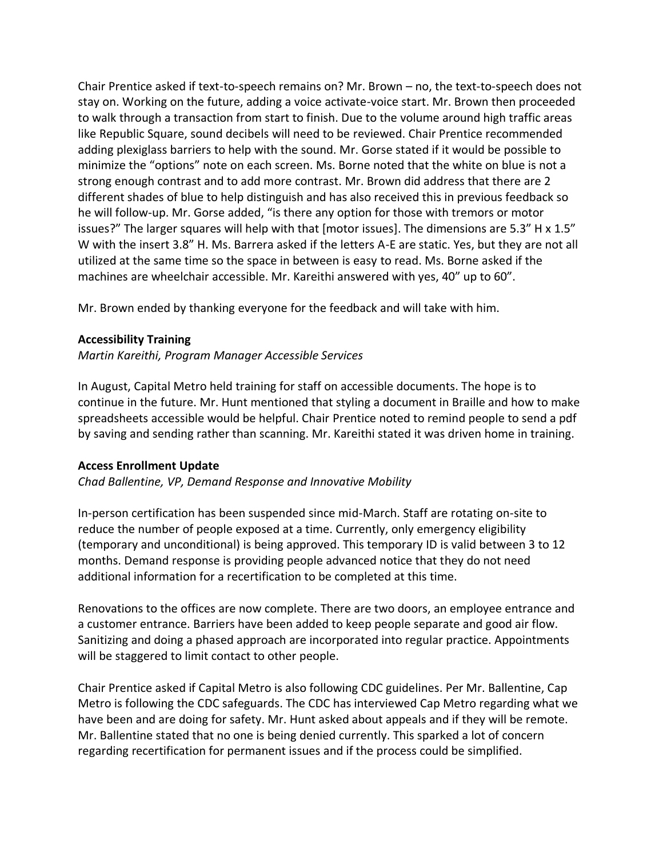Chair Prentice asked if text-to-speech remains on? Mr. Brown – no, the text-to-speech does not stay on. Working on the future, adding a voice activate-voice start. Mr. Brown then proceeded to walk through a transaction from start to finish. Due to the volume around high traffic areas like Republic Square, sound decibels will need to be reviewed. Chair Prentice recommended adding plexiglass barriers to help with the sound. Mr. Gorse stated if it would be possible to minimize the "options" note on each screen. Ms. Borne noted that the white on blue is not a strong enough contrast and to add more contrast. Mr. Brown did address that there are 2 different shades of blue to help distinguish and has also received this in previous feedback so he will follow-up. Mr. Gorse added, "is there any option for those with tremors or motor issues?" The larger squares will help with that [motor issues]. The dimensions are 5.3" H x 1.5" W with the insert 3.8" H. Ms. Barrera asked if the letters A-E are static. Yes, but they are not all utilized at the same time so the space in between is easy to read. Ms. Borne asked if the machines are wheelchair accessible. Mr. Kareithi answered with yes, 40" up to 60".

Mr. Brown ended by thanking everyone for the feedback and will take with him.

### **Accessibility Training**

*Martin Kareithi, Program Manager Accessible Services*

In August, Capital Metro held training for staff on accessible documents. The hope is to continue in the future. Mr. Hunt mentioned that styling a document in Braille and how to make spreadsheets accessible would be helpful. Chair Prentice noted to remind people to send a pdf by saving and sending rather than scanning. Mr. Kareithi stated it was driven home in training.

### **Access Enrollment Update**

*Chad Ballentine, VP, Demand Response and Innovative Mobility*

In-person certification has been suspended since mid-March. Staff are rotating on-site to reduce the number of people exposed at a time. Currently, only emergency eligibility (temporary and unconditional) is being approved. This temporary ID is valid between 3 to 12 months. Demand response is providing people advanced notice that they do not need additional information for a recertification to be completed at this time.

Renovations to the offices are now complete. There are two doors, an employee entrance and a customer entrance. Barriers have been added to keep people separate and good air flow. Sanitizing and doing a phased approach are incorporated into regular practice. Appointments will be staggered to limit contact to other people.

Chair Prentice asked if Capital Metro is also following CDC guidelines. Per Mr. Ballentine, Cap Metro is following the CDC safeguards. The CDC has interviewed Cap Metro regarding what we have been and are doing for safety. Mr. Hunt asked about appeals and if they will be remote. Mr. Ballentine stated that no one is being denied currently. This sparked a lot of concern regarding recertification for permanent issues and if the process could be simplified.